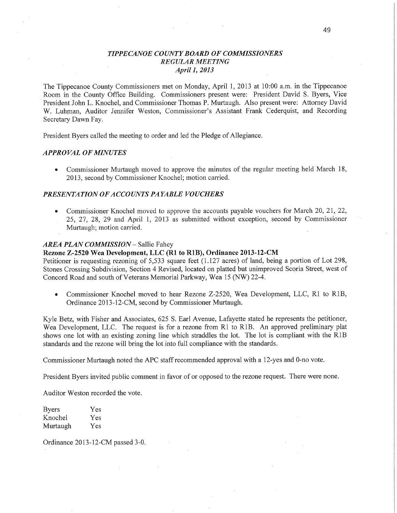# *T IPPECANOE COUNTY BOARD* OF *COMMISSIONERS REGULAR MEETING April], 2013*

The Tippecanoe County Commissioners met on Monday, April 1, 2013 at 10:00 am. in the Tippecanoe .. Room in the County Office Building. Commissioners present were: President David S. Byers, **Vice**  President John L. Knochel, and Commissioner Thomas P. **Murtaugh.** Also present were: Attorney **David**  W. Luhman, Auditor Jennifer Weston, Commissioner's Assistant Frank Cederquist, and Recording Secretary Dawn Fay.

President Byers called the meeting to order and led the Pledge of Allegiance.

## *APPROVAL* OF *MINUTES*

**0** Commissioner Murtaugh moved to approve the minutes of the fegular meeting held March 18, 2013, second by Commissioner Knochel; motion carried.

## **PRESENTATION OF ACCOUNTS PAYABLE VOUCHERS**

**0** Commissioner Knochel moved to approve the accounts payable vouchers fof March 20, 21, 22, 25, 27, 28, 29 and April 1, 2013 as submitted without exception, second by Commissioner Murtaugh; motion carried.

# *AREA PLAN COMMISSION* **—** Sallie Fahey

## **Rezone Z-2520** Wea Development, LLC (R1 to RIB), **Ordinance 2013-12-CM**

Petitioner is requesting rezoning of 5,533 square feet (1.127 acres) of land, being a portion of Lot 298, Stones Crossing Subdivision, Section 4 Revised, located on platted but unimproved Scoria Street, west of Concord Road and south of Veterans Memorial Parkway, Wea 15 (NW) 22-4.

**0** Commissioner Knochel moved to hear Rezone Z-2520, Wea Development, LLC, R1 to RlB, Ordinance 2013-12-CM, second by Commissioner Murtaugh.

Kyle Betz, with Fisher and Associates, 625 S. Earl Avenue, Lafayette stated he represents the petitioner, Wea Development, LLC. The request is for a rezone from R1 to RIB. An approved preliminary plat shows one lot with an existing zoning line which straddles the lot. The lot is compliant with the RIB standards and the rezone will bring the lot **into** full compliance with the standards.

Commissioner Murtaugh noted the APC staff recommended approval with a 12-yes and 0-no vote.

President Byers invited public comment in favor of or opposed to the rezone **request.** There were none.

Auditor Weston recorded the vote.

| Byers    | Yes |
|----------|-----|
| Knochel  | Yes |
| Murtaugh | Yes |

Ordinance 2013—12-CM passed 3—0.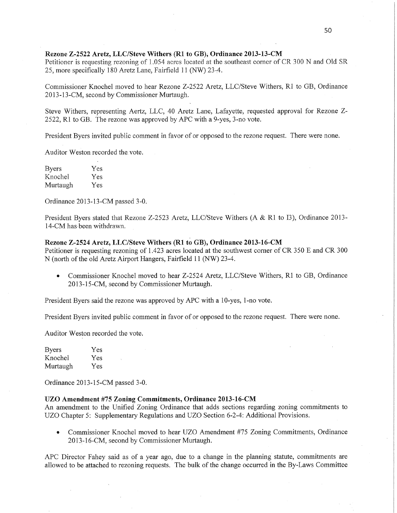# **Rezone Z—2522 Aretz, LLC/Steve** Withers (R1 to GB); Ordinance **2013—13-CM**

Petitioner is requesting rezoning of 1.054 acres located at the southeast comer of CR 300 N and Old SR 25, more specifically 180 Aretz Lane, Fairfield 11 (NW) 23—4.

Commissioner Knochel moved to hear Rezone Z—2522 Aretz, LLC/Steve Withers, R1 to GB, Ordinance 2013-13—CM, second by Commissioner Murtaugh.

Steve Withers, representing Aertz, LLC, 40 Aretz Lane, Lafayette, requested approval for Rezone Z— 2522, R1 to GB. The rezone was approved by APC with a 9-yes, 3—no vote.

President Byers invited public comment in favor of or opposed to the rezone request. There were none.

Auditor Weston recorded the vote.

| <b>Byers</b> | Yes |
|--------------|-----|
| Knochel      | Yes |
| Murtaugh     | Yes |

Ordinance 2013-13-CM passed 3-0.

President Byers stated that Rezone Z-2523 Aretz, LLC/Steve Withers (A & R1 to I3), Ordinance 2013-14-CM has been withdrawn.

## Rezone **Z—2524 Aretz, LLC/Steve** Withers (R1 t6 GB), **Ordinance 2013-16-CM**

Petitioner is requesting rezoning of 1.423 acres located at the southwest corner of CR 350 E and CR 300 <sup>N</sup>(north of the old Aretz Airport Hangers, Fairfield 11 (NW) 23-4.

**0** Commissioner Knochel moved to hear 2-2524 Aretz, LLC/Steve Wifhers, R1 to GB, Ordinance 2013-15-CM, second by Commissioner Murtaugh.

President Byers said the rezone was approved by APC with a 10-yes, l-no vote.

President Byers invited public comment in favor of or opposed to the rezone request. There were none.

Auditor Weston recorded the vote.

| Byers    | Yes |
|----------|-----|
| Knochel  | Yes |
| Murtaugh | Yes |

Ordinance 2013-15-CM passed 3-0.

## UZO Amendment #75 Zoning Commitments, **Ordinance 2013-16-CM**

An amendment to the Unified Zoning Ordinance that adds sections regarding zoning commitments to UZO Chapter 5: Supplementary Regulations and U20 Section 6-2-4: Additional Provisions.

**0** Commissioner Knochel moved to hear UZO Amendment #75 Zoning Commitments, Ordinance 2013-16-CM, second by Commissioner Murtaugh.

APC Director Fahey said as of a year ago, due to a change in the planning statute, commitments are allowed to be attached to rezoning requests. The bulk of the change occurred in the By-Laws Committee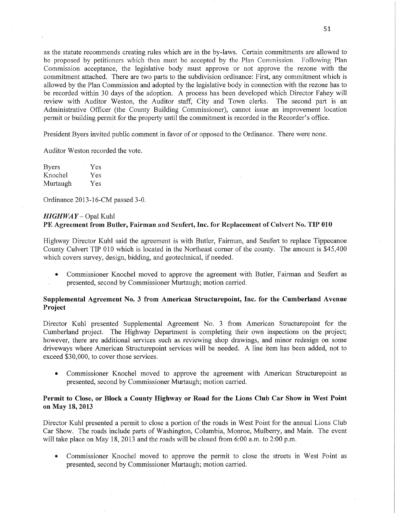as the statute recommends creating rules which are in the by-laws. Certain commitments are allowed to be proposed by petitioners which then must be accepted by the Plan Commission. Following Plan Commission acceptance, the legislative body must approve 'or not approve the rezone with the commitment attached. There are two parts to the subdivision ordinance: First, any commitment which is allowed by the Plan Commission and adopted by the legislative body in connection with the rezone has to be recorded within 30 days of the adoption. A process has been developed which Director Fahey will review with Auditor Weston, the Auditor staff, City and Town clerks. The second part is an Administrative Officer (the County Building Commissioner), cannot issue an improvement location permit or building permit for the property until the commitment is recorded in the Recorder's office.

President Byers invited public comment in favor of or opposed to the Ordinance. There were none.

Auditor Weston recorded the vote.

| <b>Byers</b> | Yes |
|--------------|-----|
| Knochel      | Yes |
| Murtaugh     | Yes |

Ordinance 2013~16~CM passed 3—0.

#### *HIGHWAY* — Opal Kuhl

# PE Agreement from Butler, **Fairman** and **Seufert, Inc.** for Replacement of **Culvert** No. TIP 010

Highway Director Kuhl said the agreement is with Butler, Fairman, and Seufert to replace Tippecanoe County Culvert TIP 010 which is located in the Northeast corner of the county. The amount is \$45,400 which covers survey, design, bidding, and geotechnical, if needed.

**0** Commissioner Knochel moved to approve the agreement with Butler, Fairm'an and Seufert as presented, second by Commissioner Murtaugh; motion carried.

# Supplemental **Agreément** No. 3 **from American Structurepoint, Inc.** for the Cumberland **Avenue Project**

Director Kuhl presented Supplemental Agreement No. 3 from American Structurepoint for the Cumberland project. The Highway Department is completing their own inspections on the project; however, there are additional services such as reviewing shop drawings, and minor redesign on some driveways where American Structurepoint services will be needed. **A** line item has been added, not to exceed \$30, 000, to cover those services.

**0** Commissioner Knochel moved to approve the agreement with American Structurepoint as presented, second by Commissioner Murtaugh; motion carried.

# Permit to Close, or **Block a County Highway** or **Road** for the **Lions** Club Car **Show** 1n West **Point**  on May 18, **2013**

Director Kuhl presented a permit to close a portion of the roads in West Point for the annual Lions Club Car Show. The roads include parts of Washington, Columbia, Monroe, Mulberry, and Main. The event will take place on May 18, 2013 and the roads will be closed from  $6:00$  a.m. to  $2:00$  p.m.

**0** Commissioner Knochel moved to approve the pennit to close the streets in West Point as presented, second by Commissioner Murtaugh; motion carried.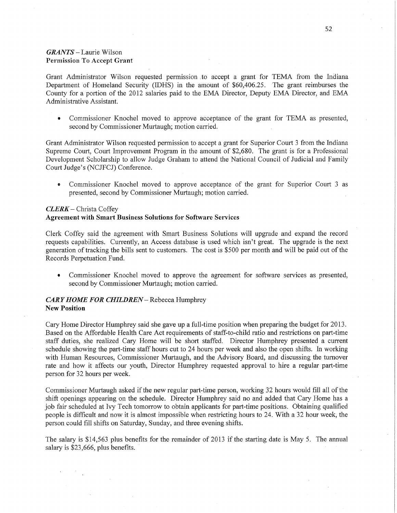# *GRANTS —* Laurie Wilson Permission To Accept Grant

Grant Administrator Wilson requested permission .to accept <sup>a</sup>grant for TEMA from the Indiana Department of Homeland Security (IDHS) in the amount of \$60,406.25. The grant reimburses the County for a portion of the 2012 salaries paid to the EMA Director, Deputy EMA Director, and EMA Administrative Assistant.

**0** Commissioner Knochel moved to approve acceptance of the grant for TEMA. as presented, second by Commissioner Murtaugh; motion carried.

Grant Administrator Wilson requested permission to accept a grant for Superior Court 3 from the Indiana Supreme Court, Court Improvement Program in the amount of \$2,680. The grant is for a Professional Development Scholarship to allow Judge Graham to attend the National Council of Judicial and Family Court Judge's (NCJFCJ) Conference.

**0** Commissioner Knochel moved to approve acceptance of the grant for Superior Court 3 as presented, second by Commissioner Murtaugh; motion carried.

## *CLERK* **—** Christa Coffey

#### **Agreement** with **Smart Business** Solutions for **Software Services**

Clerk Coffey said the agreement with Smart Business Solutions will upgrade and expand the record requests capabilities. Currently, an Access database is used which isn't great. The upgrade is the next generation of tracking the bills sent to customers. The cost is \$500 per month and will be paid out of the Records Perpetuation Fund.

**0** Commissioner Knochel moved to approve the agreement for software services as presented, second by Commissioner Murtaugh; motion carried.

# *CARY HOME FOR CHILDREN* – Rebecca Humphrey New **Position**

Cary Home Director Humphrey said she gave up a full-time position When preparing the budget for 2013. Based on the Affordable Health Care Act requirements of staff-to-child **ratio** and restrictions on part-time staff duties, she realized Cary Home will be short staffed. Director Humphrey presented a current schedule showing the part-time staff hours cut to 24 hours per week and also the open shifts. In working with Human Resources, Commissioner Murtaugh, and the Advisory Board, and discussing the turnover rate and how it affects our youth, Director Humphrey requested approval to hire a regular part-time person for 32 hours per week.

Commissioner Murtaugh asked if the new regular part-time person, working 32 hours would fill all of the shift openings appearing on the schedule. Director Humphrey said no and added that Cary Home has <sup>a</sup> job fair scheduled at Ivy Tech tomorrow to obtain applicants for part-time positions. Obtaining qualified people is difficult and now it is almost impossible when restricting hours to 24. With a 32 hour week, the person could fill shifts on Saturday, Sunday, and three evening shifts.

The salary is \$14,563 plus benefits for the remainder of 2013 if the starting date is May 5. The annual salary is \$23,666, plus benefits.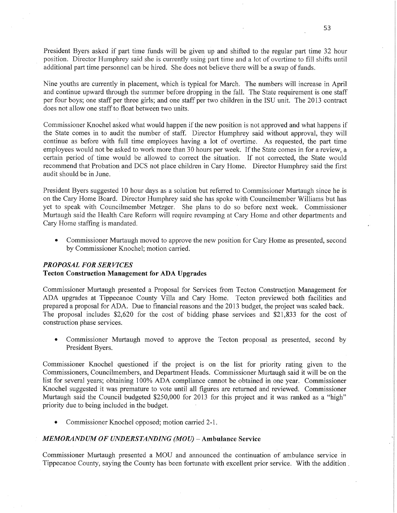President Byers asked if part time funds will be given up and shifted to the regular part time 32 hour position. Dircctor Humphrey said she is currently using part time and **a** lot of overtime to fill shifts until additional part time personnel can be hired. She does not believe there will be a swap of funds.

Nine youths are currently in placement, which is typical for March. The numbers will increase in April and continue upward through the summer before dropping in the fall. The State requirement is one staff per four boys; one staff per three girls; and one staff per two children 1n the ISU unit. The 2013 contract does not allow one staff to float between two units

Commissioner Knochel asked what would happen if the new position is not approved and what happens if the State comes in to audit the number of staff. Director Humphrey said without approval, they will continue as before with full time employees having a lot of overtime. As requested, the part time employees would not be asked to work more than 30 hours per **week.** If the State comes in for a review, a certain period of **time** would be' allowed to correct the situation. If not corrected, the State would recommend that Probation and DCS not place children in Cary Home. Director Humphrey said the first audit should be in June.

President Byers suggested 10 hour days as a solution but referred to Commissioner Murtaugh **since** he is on the Cary Home Board. Director Humphrey said she has spoke with Councilmember Williams but has yet to speak with Councilmember Metzger. She plans to do so before next **week.** Commissioner Murtaugh said the Health Care Reform will require revamping at Cary Home and other departments and Cary Home staffing is mandated. '

**0** Commissioner Murtaugh moved to approve the new position for Cary Home as presented, second by Commissioner Knochel; motion carried.

# **PROPOSAL FOR SERVICES**

# **Tecton** Construction **Management** for ADA **Upgrades**

Commissioner Murtaugh presented a Proposal for Services from Tecton Construction Management for ADA upgrades at Tippecanoe County Villa and Cary Home. Tecton previewed both facilities and prepared a proposal for **ADA.** Due to financial reasons and the 2013 budget, the project was scaled back. The proposal includes \$2,620 for the cost of bidding phase services and \$21,833 for the cost of construction phase services.

**0** Commissioner Murtaugh moved to approve the Tecton proposal as presented, second by President Byers.

Commissioner Knochel questioned if the project is on the list for priority rating given to the Commissioners, Councilmembers, and Department Heads. Commissioner Murtaugh said it will be on the list for several years; obtaining 100% ADA compliance cannot be obtained in one year. Commissioner Knochel suggested it was premature to vote until all figures are returned and reviewed. Commissioner Murtaugh said the Council budgeted \$250,000 for 2013 for this project and it was ranked as a "high" priority due to being included in the budget. '

**0** Commissioner Knochel opposed; motion carried 2-1.

# *1 MEMORANDUM* OF *UNDERSTANDING (MOU)* **— Ambulance Service**

Commissioner Murtaugh presented a MOU and announced 'the continuation of ambulance service in Tippecanoe County, saying the County has been fortunate with excellent prior service. With the addition *.*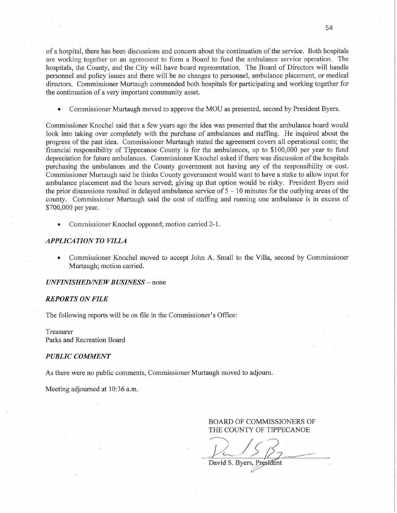of a hospital, there has been discussions and concern about the continuation of the service. Both hospitals are working together on an agreement to form a Board to fund the ambulance service operation. The hospitals, the County, and the City will have board representation. The Board of Directors will handle personnel and policy issues and there will be no changes to personnel, ambulance placement, or medical directors. Commissioner Murtaugh commended both hospitals for participating and working together for the continuation of a very important community asset.

**0** Commissioner Murtaugh moved to approve the MOU as presented, second by President Byers.

Commissioner Knochel said that a few years ago the idea was presented that the ambulance board would look into taking over completely with the purchase of ambulances and staffing. He inquired about the progress of the past idea. Commissioner Murtaugh stated the agreement covers all operational costs; the financial responsibility of Tippecanoe County is for the ambulances, up to \$100, 000 per year to **fund**  depreciation for future ambulances. Commissioner Knochel asked if there was discussion of the hospitals purchasing the ambulances and the County government not having any of the responsibility or cost Commissioner Murtaugh said he thinks County government would want to have a stake to allow input for ambulance placement and the hours served; giving up that option would be risky. President Byers said the prior discussions resulted in delayed ambulance service of 5 **—** 10 minutes for the outlying areas of the county. Commissioner Murtaugh said the cost of staffing and running one ambulance is in excess of \$700,000 per year.

**-** Commissioner Knochel opposed; motion can'ied 2-1.

## *APPLICATION* TO *VILLA*

**0** Commissioner Knochel moved to accept John A. Small to the Villa, second by Commissioner Murtaugh; motion carried.

*UNFINISHED/NEW BUSINESS* - none

### *REPORTS* ON *FILE*

The following reports will be on file in the Commissioner's Office:

Treasurer Parks and Recreation Board

### *PUBLIC COMMENT*

As there were no public comments, Commissioner Murtaugh moved to adjourn.

Meeting adjourned at 10:36 a.m.

 $2/5B$ David S. Byers, President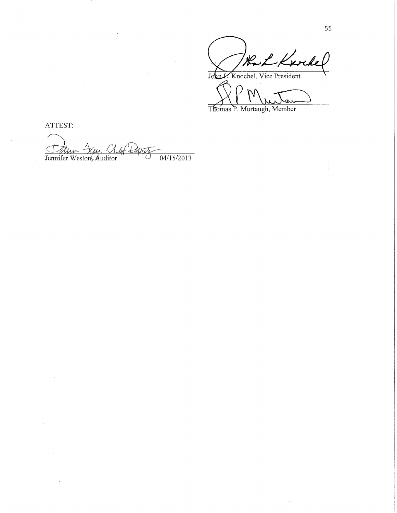Rock Knockel John L. Knochel, Vice President

XMWTan)

Thomas P. Murtaugh, Member

ATTEST:

Jennifer Weston, Auditor Deputy 04/15/2013